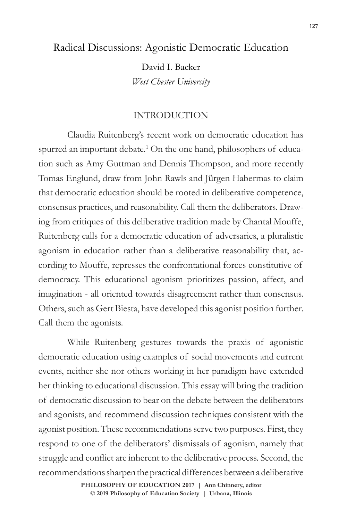# Radical Discussions: Agonistic Democratic Education

David I. Backer *West Chester University*

## INTRODUCTION

Claudia Ruitenberg's recent work on democratic education has spurred an important debate.<sup>1</sup> On the one hand, philosophers of education such as Amy Guttman and Dennis Thompson, and more recently Tomas Englund, draw from John Rawls and Jürgen Habermas to claim that democratic education should be rooted in deliberative competence, consensus practices, and reasonability. Call them the deliberators. Drawing from critiques of this deliberative tradition made by Chantal Mouffe, Ruitenberg calls for a democratic education of adversaries, a pluralistic agonism in education rather than a deliberative reasonability that, according to Mouffe, represses the confrontational forces constitutive of democracy. This educational agonism prioritizes passion, affect, and imagination - all oriented towards disagreement rather than consensus. Others, such as Gert Biesta, have developed this agonist position further. Call them the agonists.

While Ruitenberg gestures towards the praxis of agonistic democratic education using examples of social movements and current events, neither she nor others working in her paradigm have extended her thinking to educational discussion. This essay will bring the tradition of democratic discussion to bear on the debate between the deliberators and agonists, and recommend discussion techniques consistent with the agonist position. These recommendations serve two purposes. First, they respond to one of the deliberators' dismissals of agonism, namely that struggle and conflict are inherent to the deliberative process. Second, the recommendations sharpen the practical differences between a deliberative

> **doi: 10.47925/73.127 PHILOSOPHY OF EDUCATION 2017 | Ann Chinnery, editor © 2019 Philosophy of Education Society | Urbana, Illinois**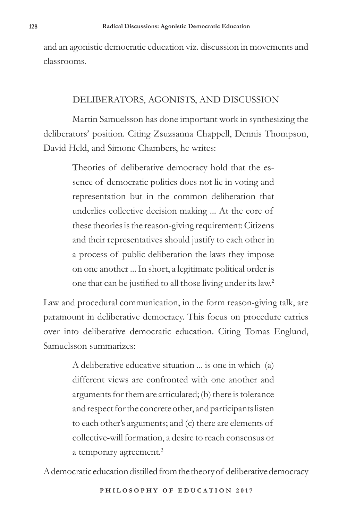and an agonistic democratic education viz. discussion in movements and classrooms.

### DELIBERATORS, AGONISTS, AND DISCUSSION

Martin Samuelsson has done important work in synthesizing the deliberators' position. Citing Zsuzsanna Chappell, Dennis Thompson, David Held, and Simone Chambers, he writes:

> Theories of deliberative democracy hold that the essence of democratic politics does not lie in voting and representation but in the common deliberation that underlies collective decision making ... At the core of these theories is the reason-giving requirement: Citizens and their representatives should justify to each other in a process of public deliberation the laws they impose on one another ... In short, a legitimate political order is one that can be justified to all those living under its law.<sup>2</sup>

Law and procedural communication, in the form reason-giving talk, are paramount in deliberative democracy. This focus on procedure carries over into deliberative democratic education. Citing Tomas Englund, Samuelsson summarizes:

> A deliberative educative situation ... is one in which (a) different views are confronted with one another and arguments for them are articulated; (b) there is tolerance and respect for the concrete other, and participants listen to each other's arguments; and (c) there are elements of collective-will formation, a desire to reach consensus or a temporary agreement.<sup>3</sup>

A democratic education distilled from the theory of deliberative democracy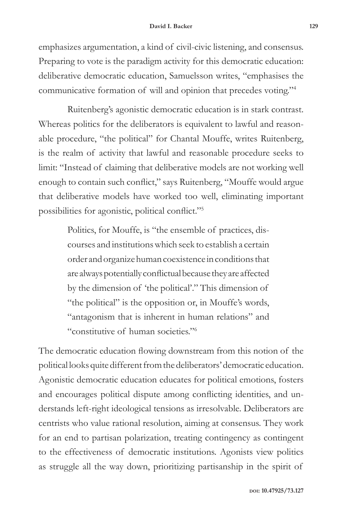emphasizes argumentation, a kind of civil-civic listening, and consensus. Preparing to vote is the paradigm activity for this democratic education: deliberative democratic education, Samuelsson writes, "emphasises the communicative formation of will and opinion that precedes voting."4

Ruitenberg's agonistic democratic education is in stark contrast. Whereas politics for the deliberators is equivalent to lawful and reasonable procedure, "the political" for Chantal Mouffe, writes Ruitenberg, is the realm of activity that lawful and reasonable procedure seeks to limit: "Instead of claiming that deliberative models are not working well enough to contain such conflict," says Ruitenberg, "Mouffe would argue that deliberative models have worked too well, eliminating important possibilities for agonistic, political conflict."<sup>5</sup>

> Politics, for Mouffe, is "the ensemble of practices, discourses and institutions which seek to establish a certain order and organize human coexistence in conditions that are always potentially conflictual because they are affected by the dimension of 'the political'." This dimension of "the political" is the opposition or, in Mouffe's words, "antagonism that is inherent in human relations" and "constitutive of human societies."<sup>6</sup>

The democratic education flowing downstream from this notion of the political looks quite different from the deliberators' democratic education. Agonistic democratic education educates for political emotions, fosters and encourages political dispute among conflicting identities, and understands left-right ideological tensions as irresolvable. Deliberators are centrists who value rational resolution, aiming at consensus. They work for an end to partisan polarization, treating contingency as contingent to the effectiveness of democratic institutions. Agonists view politics as struggle all the way down, prioritizing partisanship in the spirit of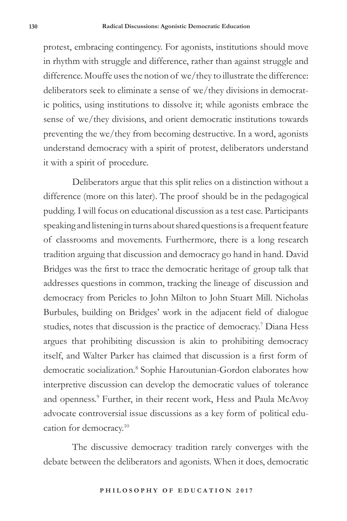protest, embracing contingency. For agonists, institutions should move in rhythm with struggle and difference, rather than against struggle and difference. Mouffe uses the notion of we/they to illustrate the difference: deliberators seek to eliminate a sense of we/they divisions in democratic politics, using institutions to dissolve it; while agonists embrace the sense of we/they divisions, and orient democratic institutions towards preventing the we/they from becoming destructive. In a word, agonists understand democracy with a spirit of protest, deliberators understand it with a spirit of procedure.

Deliberators argue that this split relies on a distinction without a difference (more on this later). The proof should be in the pedagogical pudding. I will focus on educational discussion as a test case. Participants speaking and listening in turns about shared questions is a frequent feature of classrooms and movements. Furthermore, there is a long research tradition arguing that discussion and democracy go hand in hand. David Bridges was the first to trace the democratic heritage of group talk that addresses questions in common, tracking the lineage of discussion and democracy from Pericles to John Milton to John Stuart Mill. Nicholas Burbules, building on Bridges' work in the adjacent field of dialogue studies, notes that discussion is the practice of democracy.7 Diana Hess argues that prohibiting discussion is akin to prohibiting democracy itself, and Walter Parker has claimed that discussion is a first form of democratic socialization.<sup>8</sup> Sophie Haroutunian-Gordon elaborates how interpretive discussion can develop the democratic values of tolerance and openness.<sup>9</sup> Further, in their recent work, Hess and Paula McAvoy advocate controversial issue discussions as a key form of political education for democracy.10

The discussive democracy tradition rarely converges with the debate between the deliberators and agonists. When it does, democratic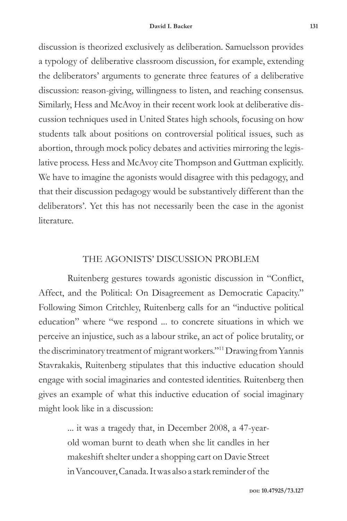discussion is theorized exclusively as deliberation. Samuelsson provides a typology of deliberative classroom discussion, for example, extending the deliberators' arguments to generate three features of a deliberative discussion: reason-giving, willingness to listen, and reaching consensus. Similarly, Hess and McAvoy in their recent work look at deliberative discussion techniques used in United States high schools, focusing on how students talk about positions on controversial political issues, such as abortion, through mock policy debates and activities mirroring the legislative process. Hess and McAvoy cite Thompson and Guttman explicitly. We have to imagine the agonists would disagree with this pedagogy, and that their discussion pedagogy would be substantively different than the deliberators'. Yet this has not necessarily been the case in the agonist literature.

# THE AGONISTS' DISCUSSION PROBLEM

Ruitenberg gestures towards agonistic discussion in "Conflict, Affect, and the Political: On Disagreement as Democratic Capacity." Following Simon Critchley, Ruitenberg calls for an "inductive political education" where "we respond ... to concrete situations in which we perceive an injustice, such as a labour strike, an act of police brutality, or the discriminatory treatment of migrant workers."11 Drawing from Yannis Stavrakakis, Ruitenberg stipulates that this inductive education should engage with social imaginaries and contested identities. Ruitenberg then gives an example of what this inductive education of social imaginary might look like in a discussion:

> ... it was a tragedy that, in December 2008, a 47-yearold woman burnt to death when she lit candles in her makeshift shelter under a shopping cart on Davie Street in Vancouver, Canada. It was also a stark reminder of the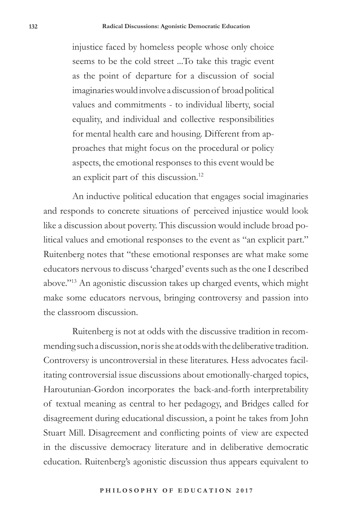injustice faced by homeless people whose only choice seems to be the cold street ...To take this tragic event as the point of departure for a discussion of social imaginaries would involve a discussion of broad political values and commitments - to individual liberty, social equality, and individual and collective responsibilities for mental health care and housing. Different from approaches that might focus on the procedural or policy aspects, the emotional responses to this event would be an explicit part of this discussion.<sup>12</sup>

An inductive political education that engages social imaginaries and responds to concrete situations of perceived injustice would look like a discussion about poverty. This discussion would include broad political values and emotional responses to the event as "an explicit part." Ruitenberg notes that "these emotional responses are what make some educators nervous to discuss 'charged' events such as the one I described above."13 An agonistic discussion takes up charged events, which might make some educators nervous, bringing controversy and passion into the classroom discussion.

Ruitenberg is not at odds with the discussive tradition in recommending such a discussion, nor is she at odds with the deliberative tradition. Controversy is uncontroversial in these literatures. Hess advocates facilitating controversial issue discussions about emotionally-charged topics, Haroutunian-Gordon incorporates the back-and-forth interpretability of textual meaning as central to her pedagogy, and Bridges called for disagreement during educational discussion, a point he takes from John Stuart Mill. Disagreement and conflicting points of view are expected in the discussive democracy literature and in deliberative democratic education. Ruitenberg's agonistic discussion thus appears equivalent to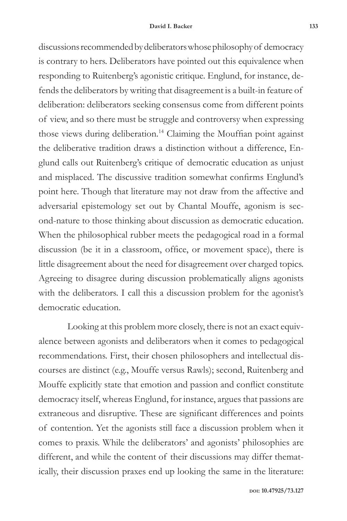discussions recommended by deliberators whose philosophy of democracy is contrary to hers. Deliberators have pointed out this equivalence when responding to Ruitenberg's agonistic critique. Englund, for instance, defends the deliberators by writing that disagreement is a built-in feature of deliberation: deliberators seeking consensus come from different points of view, and so there must be struggle and controversy when expressing those views during deliberation.<sup>14</sup> Claiming the Mouffian point against the deliberative tradition draws a distinction without a difference, Englund calls out Ruitenberg's critique of democratic education as unjust and misplaced. The discussive tradition somewhat confirms Englund's point here. Though that literature may not draw from the affective and adversarial epistemology set out by Chantal Mouffe, agonism is second-nature to those thinking about discussion as democratic education. When the philosophical rubber meets the pedagogical road in a formal discussion (be it in a classroom, office, or movement space), there is little disagreement about the need for disagreement over charged topics. Agreeing to disagree during discussion problematically aligns agonists with the deliberators. I call this a discussion problem for the agonist's democratic education.

Looking at this problem more closely, there is not an exact equivalence between agonists and deliberators when it comes to pedagogical recommendations. First, their chosen philosophers and intellectual discourses are distinct (e.g., Mouffe versus Rawls); second, Ruitenberg and Mouffe explicitly state that emotion and passion and conflict constitute democracy itself, whereas Englund, for instance, argues that passions are extraneous and disruptive. These are significant differences and points of contention. Yet the agonists still face a discussion problem when it comes to praxis. While the deliberators' and agonists' philosophies are different, and while the content of their discussions may differ thematically, their discussion praxes end up looking the same in the literature: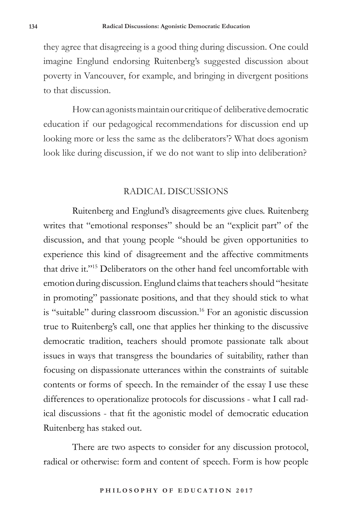they agree that disagreeing is a good thing during discussion. One could imagine Englund endorsing Ruitenberg's suggested discussion about poverty in Vancouver, for example, and bringing in divergent positions to that discussion.

How can agonists maintain our critique of deliberative democratic education if our pedagogical recommendations for discussion end up looking more or less the same as the deliberators'? What does agonism look like during discussion, if we do not want to slip into deliberation?

### RADICAL DISCUSSIONS

Ruitenberg and Englund's disagreements give clues. Ruitenberg writes that "emotional responses" should be an "explicit part" of the discussion, and that young people "should be given opportunities to experience this kind of disagreement and the affective commitments that drive it."15 Deliberators on the other hand feel uncomfortable with emotion during discussion. Englund claims that teachers should "hesitate in promoting" passionate positions, and that they should stick to what is "suitable" during classroom discussion.<sup>16</sup> For an agonistic discussion true to Ruitenberg's call, one that applies her thinking to the discussive democratic tradition, teachers should promote passionate talk about issues in ways that transgress the boundaries of suitability, rather than focusing on dispassionate utterances within the constraints of suitable contents or forms of speech. In the remainder of the essay I use these differences to operationalize protocols for discussions - what I call radical discussions - that fit the agonistic model of democratic education Ruitenberg has staked out.

There are two aspects to consider for any discussion protocol, radical or otherwise: form and content of speech. Form is how people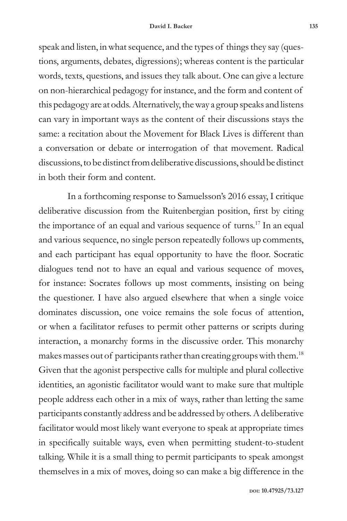speak and listen, in what sequence, and the types of things they say (questions, arguments, debates, digressions); whereas content is the particular words, texts, questions, and issues they talk about. One can give a lecture on non-hierarchical pedagogy for instance, and the form and content of this pedagogy are at odds. Alternatively, the way a group speaks and listens can vary in important ways as the content of their discussions stays the same: a recitation about the Movement for Black Lives is different than a conversation or debate or interrogation of that movement. Radical discussions, to be distinct from deliberative discussions, should be distinct in both their form and content.

In a forthcoming response to Samuelsson's 2016 essay, I critique deliberative discussion from the Ruitenbergian position, first by citing the importance of an equal and various sequence of turns.17 In an equal and various sequence, no single person repeatedly follows up comments, and each participant has equal opportunity to have the floor. Socratic dialogues tend not to have an equal and various sequence of moves, for instance: Socrates follows up most comments, insisting on being the questioner. I have also argued elsewhere that when a single voice dominates discussion, one voice remains the sole focus of attention, or when a facilitator refuses to permit other patterns or scripts during interaction, a monarchy forms in the discussive order. This monarchy makes masses out of participants rather than creating groups with them.<sup>18</sup> Given that the agonist perspective calls for multiple and plural collective identities, an agonistic facilitator would want to make sure that multiple people address each other in a mix of ways, rather than letting the same participants constantly address and be addressed by others. A deliberative facilitator would most likely want everyone to speak at appropriate times in specifically suitable ways, even when permitting student-to-student talking. While it is a small thing to permit participants to speak amongst themselves in a mix of moves, doing so can make a big difference in the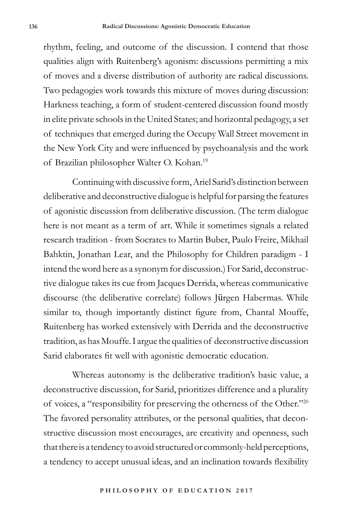rhythm, feeling, and outcome of the discussion. I contend that those qualities align with Ruitenberg's agonism: discussions permitting a mix of moves and a diverse distribution of authority are radical discussions. Two pedagogies work towards this mixture of moves during discussion: Harkness teaching, a form of student-centered discussion found mostly in elite private schools in the United States; and horizontal pedagogy, a set of techniques that emerged during the Occupy Wall Street movement in the New York City and were influenced by psychoanalysis and the work of Brazilian philosopher Walter O. Kohan.19

Continuing with discussive form, Ariel Sarid's distinction between deliberative and deconstructive dialogue is helpful for parsing the features of agonistic discussion from deliberative discussion. (The term dialogue here is not meant as a term of art. While it sometimes signals a related research tradition - from Socrates to Martin Buber, Paulo Freire, Mikhail Bahktin, Jonathan Lear, and the Philosophy for Children paradigm - I intend the word here as a synonym for discussion.) For Sarid, deconstructive dialogue takes its cue from Jacques Derrida, whereas communicative discourse (the deliberative correlate) follows Jürgen Habermas. While similar to, though importantly distinct figure from, Chantal Mouffe, Ruitenberg has worked extensively with Derrida and the deconstructive tradition, as has Mouffe. I argue the qualities of deconstructive discussion Sarid elaborates fit well with agonistic democratic education.

Whereas autonomy is the deliberative tradition's basic value, a deconstructive discussion, for Sarid, prioritizes difference and a plurality of voices, a "responsibility for preserving the otherness of the Other."<sup>20</sup> The favored personality attributes, or the personal qualities, that deconstructive discussion most encourages, are creativity and openness, such that there is a tendency to avoid structured or commonly-held perceptions, a tendency to accept unusual ideas, and an inclination towards flexibility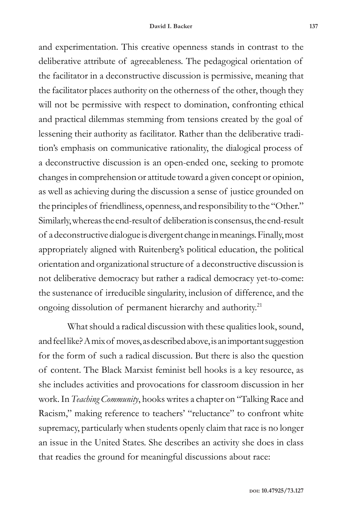and experimentation. This creative openness stands in contrast to the deliberative attribute of agreeableness. The pedagogical orientation of the facilitator in a deconstructive discussion is permissive, meaning that the facilitator places authority on the otherness of the other, though they will not be permissive with respect to domination, confronting ethical and practical dilemmas stemming from tensions created by the goal of lessening their authority as facilitator. Rather than the deliberative tradition's emphasis on communicative rationality, the dialogical process of a deconstructive discussion is an open-ended one, seeking to promote changes in comprehension or attitude toward a given concept or opinion, as well as achieving during the discussion a sense of justice grounded on the principles of friendliness, openness, and responsibility to the "Other." Similarly, whereas the end-result of deliberation is consensus, the end-result of a deconstructive dialogue is divergent change in meanings. Finally, most appropriately aligned with Ruitenberg's political education, the political orientation and organizational structure of a deconstructive discussion is not deliberative democracy but rather a radical democracy yet-to-come: the sustenance of irreducible singularity, inclusion of difference, and the ongoing dissolution of permanent hierarchy and authority.21

What should a radical discussion with these qualities look, sound, and feel like? A mix of moves, as described above, is an important suggestion for the form of such a radical discussion. But there is also the question of content. The Black Marxist feminist bell hooks is a key resource, as she includes activities and provocations for classroom discussion in her work. In *Teaching Community*, hooks writes a chapter on "Talking Race and Racism," making reference to teachers' "reluctance" to confront white supremacy, particularly when students openly claim that race is no longer an issue in the United States. She describes an activity she does in class that readies the ground for meaningful discussions about race: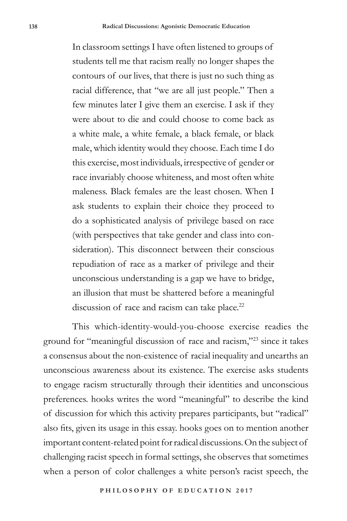In classroom settings I have often listened to groups of students tell me that racism really no longer shapes the contours of our lives, that there is just no such thing as racial difference, that "we are all just people." Then a few minutes later I give them an exercise. I ask if they were about to die and could choose to come back as a white male, a white female, a black female, or black male, which identity would they choose. Each time I do this exercise, most individuals, irrespective of gender or race invariably choose whiteness, and most often white maleness. Black females are the least chosen. When I ask students to explain their choice they proceed to do a sophisticated analysis of privilege based on race (with perspectives that take gender and class into consideration). This disconnect between their conscious repudiation of race as a marker of privilege and their unconscious understanding is a gap we have to bridge, an illusion that must be shattered before a meaningful discussion of race and racism can take place.<sup>22</sup>

This which-identity-would-you-choose exercise readies the ground for "meaningful discussion of race and racism,"23 since it takes a consensus about the non-existence of racial inequality and unearths an unconscious awareness about its existence. The exercise asks students to engage racism structurally through their identities and unconscious preferences. hooks writes the word "meaningful" to describe the kind of discussion for which this activity prepares participants, but "radical" also fits, given its usage in this essay. hooks goes on to mention another important content-related point for radical discussions. On the subject of challenging racist speech in formal settings, she observes that sometimes when a person of color challenges a white person's racist speech, the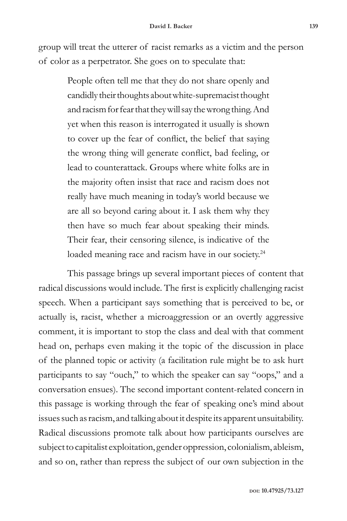group will treat the utterer of racist remarks as a victim and the person of color as a perpetrator. She goes on to speculate that:

> People often tell me that they do not share openly and candidly their thoughts about white-supremacist thought and racism for fear that they will say the wrong thing. And yet when this reason is interrogated it usually is shown to cover up the fear of conflict, the belief that saying the wrong thing will generate conflict, bad feeling, or lead to counterattack. Groups where white folks are in the majority often insist that race and racism does not really have much meaning in today's world because we are all so beyond caring about it. I ask them why they then have so much fear about speaking their minds. Their fear, their censoring silence, is indicative of the loaded meaning race and racism have in our society.<sup>24</sup>

This passage brings up several important pieces of content that radical discussions would include. The first is explicitly challenging racist speech. When a participant says something that is perceived to be, or actually is, racist, whether a microaggression or an overtly aggressive comment, it is important to stop the class and deal with that comment head on, perhaps even making it the topic of the discussion in place of the planned topic or activity (a facilitation rule might be to ask hurt participants to say "ouch," to which the speaker can say "oops," and a conversation ensues). The second important content-related concern in this passage is working through the fear of speaking one's mind about issues such as racism, and talking about it despite its apparent unsuitability. Radical discussions promote talk about how participants ourselves are subject to capitalist exploitation, gender oppression, colonialism, ableism, and so on, rather than repress the subject of our own subjection in the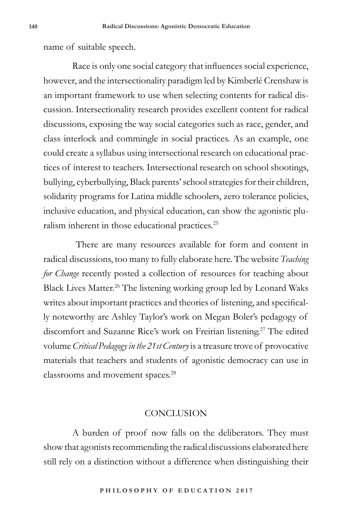name of suitable speech.

Race is only one social category that influences social experience, however, and the intersectionality paradigm led by Kimberlé Crenshaw is an important framework to use when selecting contents for radical discussion. Intersectionality research provides excellent content for radical discussions, exposing the way social categories such as race, gender, and class interlock and commingle in social practices. As an example, one could create a syllabus using intersectional research on educational practices of interest to teachers. Intersectional research on school shootings, bullying, cyberbullying, Black parents' school strategies for their children, solidarity programs for Latina middle schoolers, zero tolerance policies, inclusive education, and physical education, can show the agonistic pluralism inherent in those educational practices.<sup>25</sup>

 There are many resources available for form and content in radical discussions, too many to fully elaborate here. The website *Teaching for Change* recently posted a collection of resources for teaching about Black Lives Matter.<sup>26</sup> The listening working group led by Leonard Waks writes about important practices and theories of listening, and specifically noteworthy are Ashley Taylor's work on Megan Boler's pedagogy of discomfort and Suzanne Rice's work on Freirian listening.<sup>27</sup> The edited volume *Critical Pedagogy in the 21st Century* is a treasure trove of provocative materials that teachers and students of agonistic democracy can use in classrooms and movement spaces.28

## **CONCLUSION**

A burden of proof now falls on the deliberators. They must show that agonists recommending the radical discussions elaborated here still rely on a distinction without a difference when distinguishing their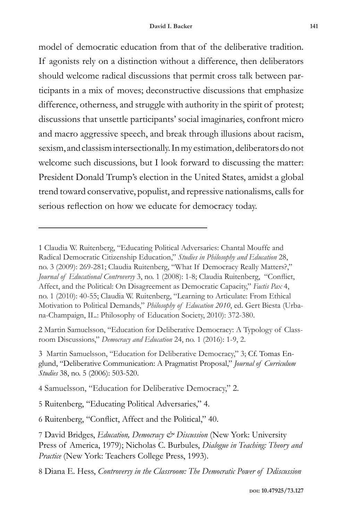model of democratic education from that of the deliberative tradition. If agonists rely on a distinction without a difference, then deliberators should welcome radical discussions that permit cross talk between participants in a mix of moves; deconstructive discussions that emphasize difference, otherness, and struggle with authority in the spirit of protest; discussions that unsettle participants' social imaginaries, confront micro and macro aggressive speech, and break through illusions about racism, sexism, and classism intersectionally. In my estimation, deliberators do not welcome such discussions, but I look forward to discussing the matter: President Donald Trump's election in the United States, amidst a global trend toward conservative, populist, and repressive nationalisms, calls for serious reflection on how we educate for democracy today.

2 Martin Samuelsson, "Education for Deliberative Democracy: A Typology of Classroom Discussions," *Democracy and Education* 24, no. 1 (2016): 1-9, 2.

3 Martin Samuelsson, "Education for Deliberative Democracy," 3; Cf. Tomas Englund, "Deliberative Communication: A Pragmatist Proposal," *Journal of Curriculum Studies* 38, no. 5 (2006): 503-520.

4 Samuelsson, "Education for Deliberative Democracy," 2.

5 Ruitenberg, "Educating Political Adversaries," 4.

6 Ruitenberg, "Conflict, Affect and the Political," 40.

8 Diana E. Hess, *Controversy in the Classroom: The Democratic Power of Ddiscussion*

<sup>1</sup> Claudia W. Ruitenberg, "Educating Political Adversaries: Chantal Mouffe and Radical Democratic Citizenship Education," *Studies in Philosophy and Education* 28, no. 3 (2009): 269-281; Claudia Ruitenberg, "What If Democracy Really Matters?," *Journal of Educational Controversy* 3, no. 1 (2008): 1-8; Claudia Ruitenberg, "Conflict, Affect, and the Political: On Disagreement as Democratic Capacity," *Factis Pax* 4, no. 1 (2010): 40-55; Claudia W. Ruitenberg, "Learning to Articulate: From Ethical Motivation to Political Demands," *Philosophy of Education 2010*, ed. Gert Biesta (Urbana-Champaign, IL.: Philosophy of Education Society, 2010): 372-380.

<sup>7</sup> David Bridges, *Education, Democracy & Discussion* (New York: University Press of America, 1979); Nicholas C. Burbules, *Dialogue in Teaching: Theory and Practice* (New York: Teachers College Press, 1993).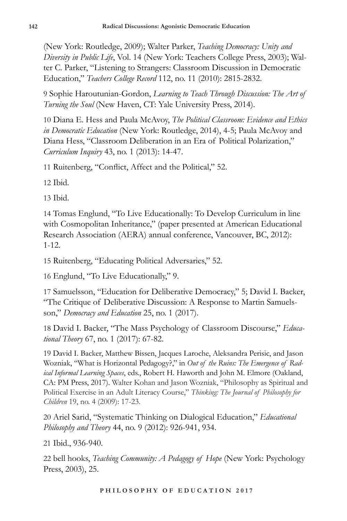(New York: Routledge, 2009); Walter Parker, *Teaching Democracy: Unity and Diversity in Public Life*, Vol. 14 (New York: Teachers College Press, 2003); Walter C. Parker, "Listening to Strangers: Classroom Discussion in Democratic Education," *Teachers College Record* 112, no. 11 (2010): 2815-2832.

9 Sophie Haroutunian-Gordon, *Learning to Teach Through Discussion: The Art of Turning the Soul* (New Haven, CT: Yale University Press, 2014).

10 Diana E. Hess and Paula McAvoy, *The Political Classroom: Evidence and Ethics in Democratic Education* (New York: Routledge, 2014), 4-5; Paula McAvoy and Diana Hess, "Classroom Deliberation in an Era of Political Polarization," *Curriculum Inquiry* 43, no. 1 (2013): 14-47.

11 Ruitenberg, "Conflict, Affect and the Political," 52.

12 Ibid.

13 Ibid.

14 Tomas Englund, "To Live Educationally: To Develop Curriculum in line with Cosmopolitan Inheritance," (paper presented at American Educational Research Association (AERA) annual conference, Vancouver, BC, 2012): 1-12.

15 Ruitenberg, "Educating Political Adversaries," 52.

16 Englund, "To Live Educationally," 9.

17 Samuelsson, "Education for Deliberative Democracy," 5; David I. Backer, "The Critique of Deliberative Discussion: A Response to Martin Samuelsson," *Democracy and Education* 25, no. 1 (2017).

18 David I. Backer, "The Mass Psychology of Classroom Discourse," *Educational Theory* 67, no. 1 (2017): 67-82.

19 David I. Backer, Matthew Bissen, Jacques Laroche, Aleksandra Perisic, and Jason Wozniak, "What is Horizontal Pedagogy?," in *Out of the Ruins: The Emergence of Radical Informal Learning Spaces*, eds., Robert H. Haworth and John M. Elmore (Oakland, CA: PM Press, 2017). Walter Kohan and Jason Wozniak, "Philosophy as Spiritual and Political Exercise in an Adult Literacy Course," *Thinking: The Journal of Philosophy for Children* 19, no. 4 (2009): 17-23.

20 Ariel Sarid, "Systematic Thinking on Dialogical Education," *Educational Philosophy and Theory* 44, no. 9 (2012): 926-941, 934.

21 Ibid., 936-940.

22 bell hooks, *Teaching Community: A Pedagogy of Hope* (New York: Psychology Press, 2003), 25.